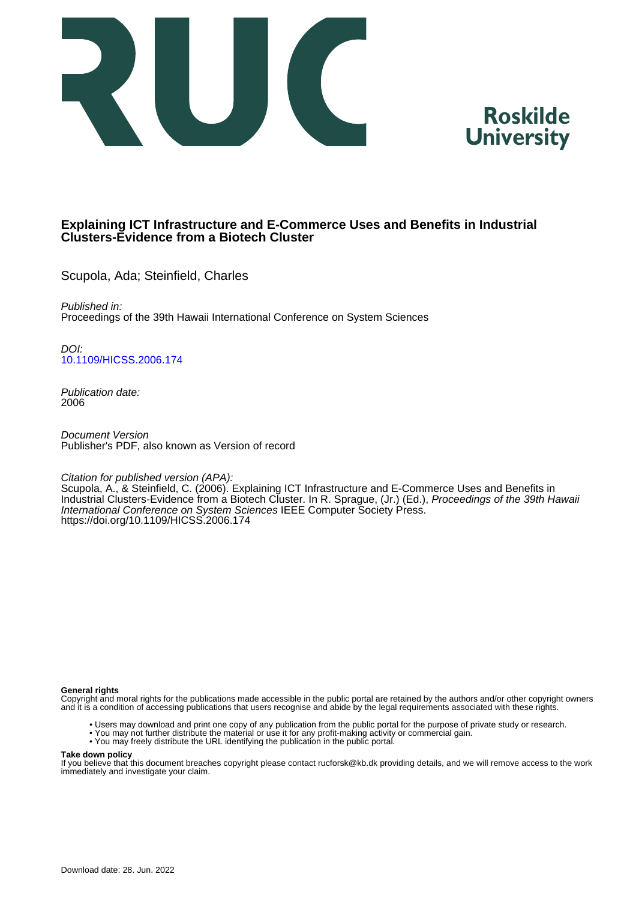



# **Explaining ICT Infrastructure and E-Commerce Uses and Benefits in Industrial Clusters-Evidence from a Biotech Cluster**

Scupola, Ada; Steinfield, Charles

Published in: Proceedings of the 39th Hawaii International Conference on System Sciences

DOI: [10.1109/HICSS.2006.174](https://doi.org/10.1109/HICSS.2006.174)

Publication date: 2006

Document Version Publisher's PDF, also known as Version of record

Citation for published version (APA):

Scupola, A., & Steinfield, C. (2006). Explaining ICT Infrastructure and E-Commerce Uses and Benefits in Industrial Clusters-Evidence from a Biotech Cluster. In R. Sprague, (Jr.) (Ed.), Proceedings of the 39th Hawaii International Conference on System Sciences IEEE Computer Society Press. <https://doi.org/10.1109/HICSS.2006.174>

#### **General rights**

Copyright and moral rights for the publications made accessible in the public portal are retained by the authors and/or other copyright owners and it is a condition of accessing publications that users recognise and abide by the legal requirements associated with these rights.

- Users may download and print one copy of any publication from the public portal for the purpose of private study or research.
- You may not further distribute the material or use it for any profit-making activity or commercial gain.
- You may freely distribute the URL identifying the publication in the public portal.

#### **Take down policy**

If you believe that this document breaches copyright please contact rucforsk@kb.dk providing details, and we will remove access to the work immediately and investigate your claim.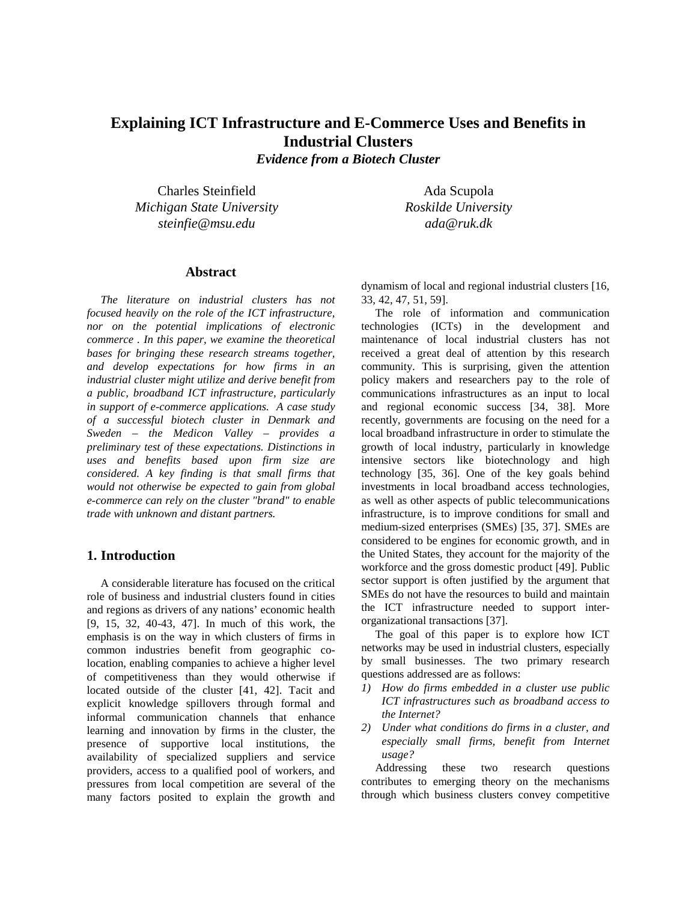# **Explaining ICT Infrastructure and E-Commerce Uses and Benefits in Industrial Clusters**

*Evidence from a Biotech Cluster*

Charles Steinfield *Michigan State University steinfie@msu.edu*

Ada Scupola *Roskilde University ada@ruk.dk*

# **Abstract**

*The literature on industrial clusters has not focused heavily on the role of the ICT infrastructure, nor on the potential implications of electronic commerce . In this paper, we examine the theoretical bases for bringing these research streams together, and develop expectations for how firms in an industrial cluster might utilize and derive benefit from a public, broadband ICT infrastructure, particularly in support of e-commerce applications. A case study of a successful biotech cluster in Denmark and Sweden – the Medicon Valley – provides a preliminary test of these expectations. Distinctions in uses and benefits based upon firm size are considered. A key finding is that small firms that would not otherwise be expected to gain from global e-commerce can rely on the cluster "brand" to enable trade with unknown and distant partners.* 

#### **1. Introduction**

A considerable literature has focused on the critical role of business and industrial clusters found in cities and regions as drivers of any nations' economic health [9, 15, 32, 40-43, 47]. In much of this work, the emphasis is on the way in which clusters of firms in common industries benefit from geographic colocation, enabling companies to achieve a higher level of competitiveness than they would otherwise if located outside of the cluster [41, 42]. Tacit and explicit knowledge spillovers through formal and informal communication channels that enhance learning and innovation by firms in the cluster, the presence of supportive local institutions, the availability of specialized suppliers and service providers, access to a qualified pool of workers, and pressures from local competition are several of the many factors posited to explain the growth and dynamism of local and regional industrial clusters [16, 33, 42, 47, 51, 59].

The role of information and communication technologies (ICTs) in the development and maintenance of local industrial clusters has not received a great deal of attention by this research community. This is surprising, given the attention policy makers and researchers pay to the role of communications infrastructures as an input to local and regional economic success [34, 38]. More recently, governments are focusing on the need for a local broadband infrastructure in order to stimulate the growth of local industry, particularly in knowledge intensive sectors like biotechnology and high technology [35, 36]. One of the key goals behind investments in local broadband access technologies, as well as other aspects of public telecommunications infrastructure, is to improve conditions for small and medium-sized enterprises (SMEs) [35, 37]. SMEs are considered to be engines for economic growth, and in the United States, they account for the majority of the workforce and the gross domestic product [49]. Public sector support is often justified by the argument that SMEs do not have the resources to build and maintain the ICT infrastructure needed to support interorganizational transactions [37].

The goal of this paper is to explore how ICT networks may be used in industrial clusters, especially by small businesses. The two primary research questions addressed are as follows:

- *1) How do firms embedded in a cluster use public ICT infrastructures such as broadband access to the Internet?*
- *2) Under what conditions do firms in a cluster, and especially small firms, benefit from Internet usage?*

Addressing these two research questions contributes to emerging theory on the mechanisms through which business clusters convey competitive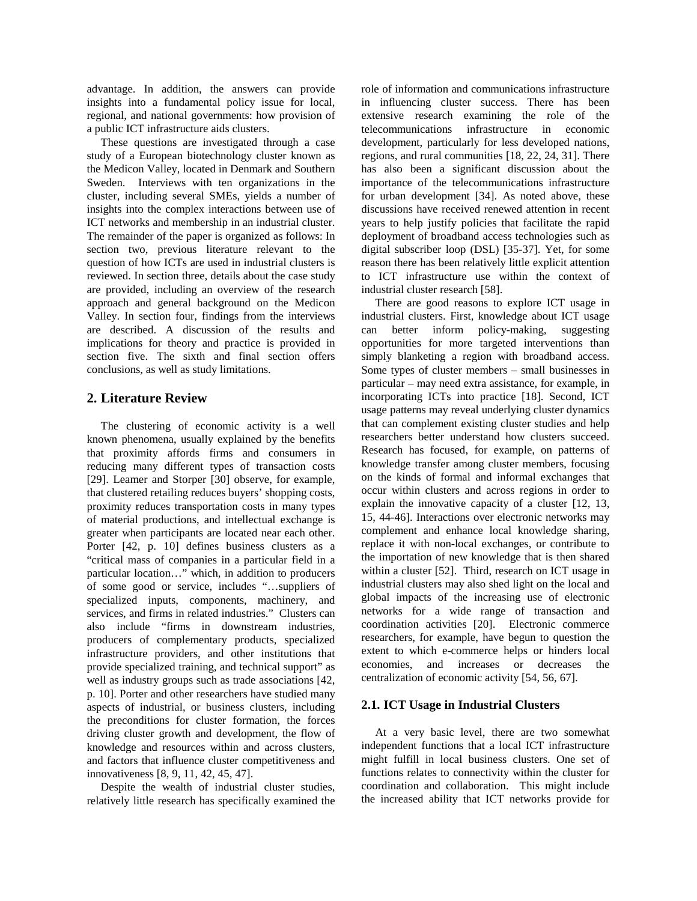advantage. In addition, the answers can provide insights into a fundamental policy issue for local, regional, and national governments: how provision of a public ICT infrastructure aids clusters.

These questions are investigated through a case study of a European biotechnology cluster known as the Medicon Valley, located in Denmark and Southern Sweden. Interviews with ten organizations in the cluster, including several SMEs, yields a number of insights into the complex interactions between use of ICT networks and membership in an industrial cluster. The remainder of the paper is organized as follows: In section two, previous literature relevant to the question of how ICTs are used in industrial clusters is reviewed. In section three, details about the case study are provided, including an overview of the research approach and general background on the Medicon Valley. In section four, findings from the interviews are described. A discussion of the results and implications for theory and practice is provided in section five. The sixth and final section offers conclusions, as well as study limitations.

## **2. Literature Review**

The clustering of economic activity is a well known phenomena, usually explained by the benefits that proximity affords firms and consumers in reducing many different types of transaction costs [29]. Leamer and Storper [30] observe, for example, that clustered retailing reduces buyers' shopping costs, proximity reduces transportation costs in many types of material productions, and intellectual exchange is greater when participants are located near each other. Porter [42, p. 10] defines business clusters as a "critical mass of companies in a particular field in a particular location…" which, in addition to producers of some good or service, includes "…suppliers of specialized inputs, components, machinery, and services, and firms in related industries." Clusters can also include "firms in downstream industries, producers of complementary products, specialized infrastructure providers, and other institutions that provide specialized training, and technical support" as well as industry groups such as trade associations [42, p. 10]. Porter and other researchers have studied many aspects of industrial, or business clusters, including the preconditions for cluster formation, the forces driving cluster growth and development, the flow of knowledge and resources within and across clusters, and factors that influence cluster competitiveness and innovativeness [8, 9, 11, 42, 45, 47].

Despite the wealth of industrial cluster studies, relatively little research has specifically examined the role of information and communications infrastructure in influencing cluster success. There has been extensive research examining the role of the telecommunications infrastructure in economic development, particularly for less developed nations, regions, and rural communities [18, 22, 24, 31]. There has also been a significant discussion about the importance of the telecommunications infrastructure for urban development [34]. As noted above, these discussions have received renewed attention in recent years to help justify policies that facilitate the rapid deployment of broadband access technologies such as digital subscriber loop (DSL) [35-37]. Yet, for some reason there has been relatively little explicit attention to ICT infrastructure use within the context of industrial cluster research [58].

There are good reasons to explore ICT usage in industrial clusters. First, knowledge about ICT usage can better inform policy-making, suggesting opportunities for more targeted interventions than simply blanketing a region with broadband access. Some types of cluster members – small businesses in particular – may need extra assistance, for example, in incorporating ICTs into practice [18]. Second, ICT usage patterns may reveal underlying cluster dynamics that can complement existing cluster studies and help researchers better understand how clusters succeed. Research has focused, for example, on patterns of knowledge transfer among cluster members, focusing on the kinds of formal and informal exchanges that occur within clusters and across regions in order to explain the innovative capacity of a cluster [12, 13, 15, 44-46]. Interactions over electronic networks may complement and enhance local knowledge sharing, replace it with non-local exchanges, or contribute to the importation of new knowledge that is then shared within a cluster [52]. Third, research on ICT usage in industrial clusters may also shed light on the local and global impacts of the increasing use of electronic networks for a wide range of transaction and coordination activities [20]. Electronic commerce researchers, for example, have begun to question the extent to which e-commerce helps or hinders local economies, and increases or decreases the centralization of economic activity [54, 56, 67].

#### **2.1. ICT Usage in Industrial Clusters**

At a very basic level, there are two somewhat independent functions that a local ICT infrastructure might fulfill in local business clusters. One set of functions relates to connectivity within the cluster for coordination and collaboration. This might include the increased ability that ICT networks provide for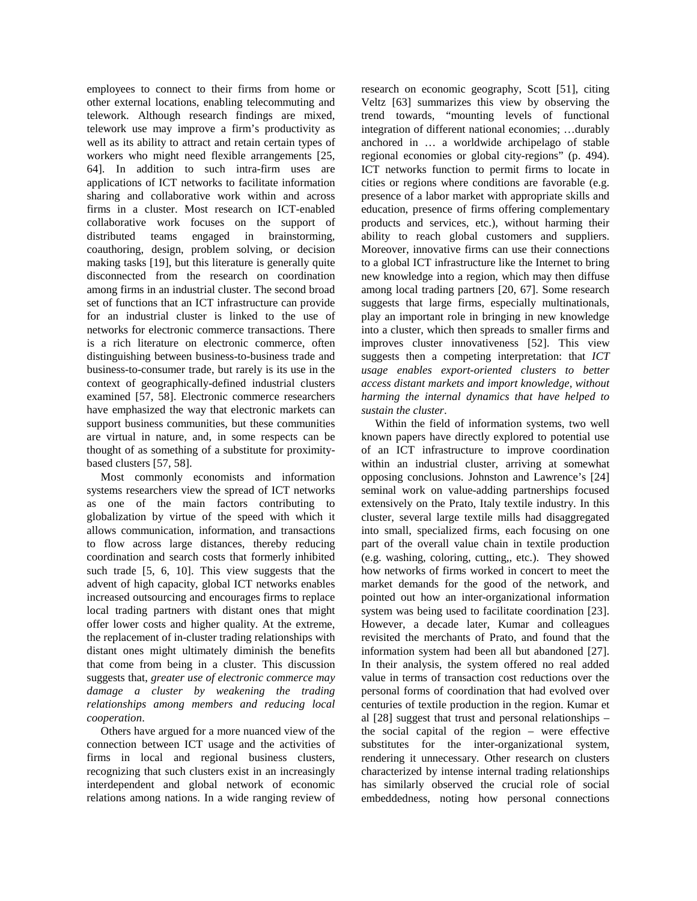employees to connect to their firms from home or other external locations, enabling telecommuting and telework. Although research findings are mixed, telework use may improve a firm's productivity as well as its ability to attract and retain certain types of workers who might need flexible arrangements [25, 64]. In addition to such intra-firm uses are applications of ICT networks to facilitate information sharing and collaborative work within and across firms in a cluster. Most research on ICT-enabled collaborative work focuses on the support of distributed teams engaged in brainstorming, coauthoring, design, problem solving, or decision making tasks [19], but this literature is generally quite disconnected from the research on coordination among firms in an industrial cluster. The second broad set of functions that an ICT infrastructure can provide for an industrial cluster is linked to the use of networks for electronic commerce transactions. There is a rich literature on electronic commerce, often distinguishing between business-to-business trade and business-to-consumer trade, but rarely is its use in the context of geographically-defined industrial clusters examined [57, 58]. Electronic commerce researchers have emphasized the way that electronic markets can support business communities, but these communities are virtual in nature, and, in some respects can be thought of as something of a substitute for proximitybased clusters [57, 58].

Most commonly economists and information systems researchers view the spread of ICT networks as one of the main factors contributing to globalization by virtue of the speed with which it allows communication, information, and transactions to flow across large distances, thereby reducing coordination and search costs that formerly inhibited such trade [5, 6, 10]. This view suggests that the advent of high capacity, global ICT networks enables increased outsourcing and encourages firms to replace local trading partners with distant ones that might offer lower costs and higher quality. At the extreme, the replacement of in-cluster trading relationships with distant ones might ultimately diminish the benefits that come from being in a cluster. This discussion suggests that, *greater use of electronic commerce may damage a cluster by weakening the trading relationships among members and reducing local cooperation*.

Others have argued for a more nuanced view of the connection between ICT usage and the activities of firms in local and regional business clusters, recognizing that such clusters exist in an increasingly interdependent and global network of economic relations among nations. In a wide ranging review of research on economic geography, Scott [51], citing Veltz [63] summarizes this view by observing the trend towards, "mounting levels of functional integration of different national economies; …durably anchored in … a worldwide archipelago of stable regional economies or global city-regions" (p. 494). ICT networks function to permit firms to locate in cities or regions where conditions are favorable (e.g. presence of a labor market with appropriate skills and education, presence of firms offering complementary products and services, etc.), without harming their ability to reach global customers and suppliers. Moreover, innovative firms can use their connections to a global ICT infrastructure like the Internet to bring new knowledge into a region, which may then diffuse among local trading partners [20, 67]. Some research suggests that large firms, especially multinationals, play an important role in bringing in new knowledge into a cluster, which then spreads to smaller firms and improves cluster innovativeness [52]. This view suggests then a competing interpretation: that *ICT usage enables export-oriented clusters to better access distant markets and import knowledge, without harming the internal dynamics that have helped to sustain the cluster*.

Within the field of information systems, two well known papers have directly explored to potential use of an ICT infrastructure to improve coordination within an industrial cluster, arriving at somewhat opposing conclusions. Johnston and Lawrence's [24] seminal work on value-adding partnerships focused extensively on the Prato, Italy textile industry. In this cluster, several large textile mills had disaggregated into small, specialized firms, each focusing on one part of the overall value chain in textile production (e.g. washing, coloring, cutting,, etc.). They showed how networks of firms worked in concert to meet the market demands for the good of the network, and pointed out how an inter-organizational information system was being used to facilitate coordination [23]. However, a decade later, Kumar and colleagues revisited the merchants of Prato, and found that the information system had been all but abandoned [27]. In their analysis, the system offered no real added value in terms of transaction cost reductions over the personal forms of coordination that had evolved over centuries of textile production in the region. Kumar et al [28] suggest that trust and personal relationships – the social capital of the region – were effective substitutes for the inter-organizational system, rendering it unnecessary. Other research on clusters characterized by intense internal trading relationships has similarly observed the crucial role of social embeddedness, noting how personal connections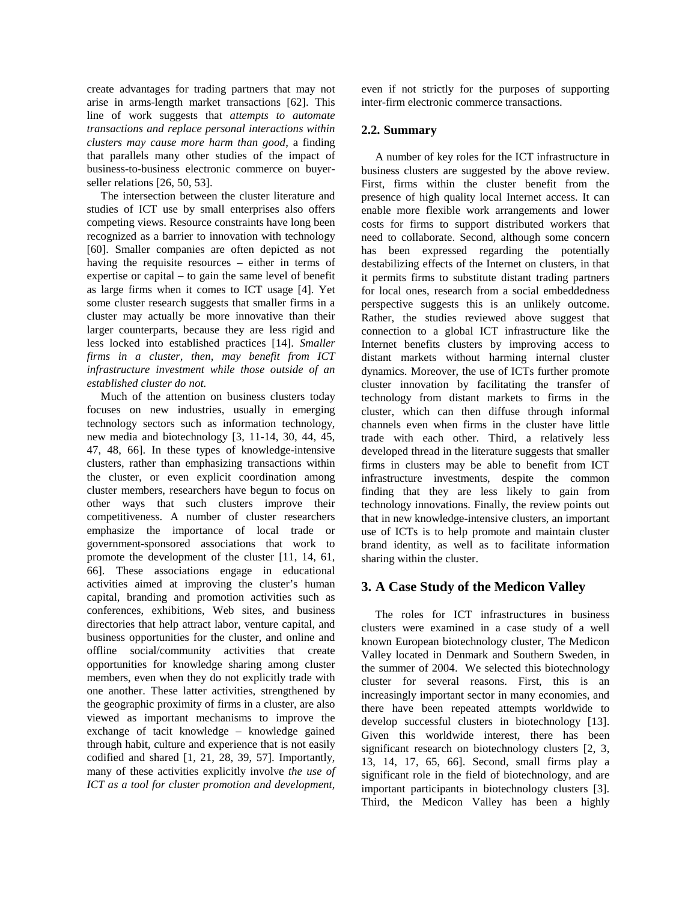create advantages for trading partners that may not arise in arms-length market transactions [62]. This line of work suggests that *attempts to automate transactions and replace personal interactions within clusters may cause more harm than good*, a finding that parallels many other studies of the impact of business-to-business electronic commerce on buyerseller relations [26, 50, 53].

The intersection between the cluster literature and studies of ICT use by small enterprises also offers competing views. Resource constraints have long been recognized as a barrier to innovation with technology [60]. Smaller companies are often depicted as not having the requisite resources – either in terms of expertise or capital – to gain the same level of benefit as large firms when it comes to ICT usage [4]. Yet some cluster research suggests that smaller firms in a cluster may actually be more innovative than their larger counterparts, because they are less rigid and less locked into established practices [14]. *Smaller firms in a cluster, then, may benefit from ICT infrastructure investment while those outside of an established cluster do not.*

Much of the attention on business clusters today focuses on new industries, usually in emerging technology sectors such as information technology, new media and biotechnology [3, 11-14, 30, 44, 45, 47, 48, 66]. In these types of knowledge-intensive clusters, rather than emphasizing transactions within the cluster, or even explicit coordination among cluster members, researchers have begun to focus on other ways that such clusters improve their competitiveness. A number of cluster researchers emphasize the importance of local trade or government-sponsored associations that work to promote the development of the cluster [11, 14, 61, 66]. These associations engage in educational activities aimed at improving the cluster's human capital, branding and promotion activities such as conferences, exhibitions, Web sites, and business directories that help attract labor, venture capital, and business opportunities for the cluster, and online and offline social/community activities that create opportunities for knowledge sharing among cluster members, even when they do not explicitly trade with one another. These latter activities, strengthened by the geographic proximity of firms in a cluster, are also viewed as important mechanisms to improve the exchange of tacit knowledge – knowledge gained through habit, culture and experience that is not easily codified and shared [1, 21, 28, 39, 57]. Importantly, many of these activities explicitly involve *the use of ICT as a tool for cluster promotion and development*,

even if not strictly for the purposes of supporting inter-firm electronic commerce transactions.

#### **2.2. Summary**

A number of key roles for the ICT infrastructure in business clusters are suggested by the above review. First, firms within the cluster benefit from the presence of high quality local Internet access. It can enable more flexible work arrangements and lower costs for firms to support distributed workers that need to collaborate. Second, although some concern has been expressed regarding the potentially destabilizing effects of the Internet on clusters, in that it permits firms to substitute distant trading partners for local ones, research from a social embeddedness perspective suggests this is an unlikely outcome. Rather, the studies reviewed above suggest that connection to a global ICT infrastructure like the Internet benefits clusters by improving access to distant markets without harming internal cluster dynamics. Moreover, the use of ICTs further promote cluster innovation by facilitating the transfer of technology from distant markets to firms in the cluster, which can then diffuse through informal channels even when firms in the cluster have little trade with each other. Third, a relatively less developed thread in the literature suggests that smaller firms in clusters may be able to benefit from ICT infrastructure investments, despite the common finding that they are less likely to gain from technology innovations. Finally, the review points out that in new knowledge-intensive clusters, an important use of ICTs is to help promote and maintain cluster brand identity, as well as to facilitate information sharing within the cluster.

# **3. A Case Study of the Medicon Valley**

The roles for ICT infrastructures in business clusters were examined in a case study of a well known European biotechnology cluster, The Medicon Valley located in Denmark and Southern Sweden, in the summer of 2004. We selected this biotechnology cluster for several reasons. First, this is an increasingly important sector in many economies, and there have been repeated attempts worldwide to develop successful clusters in biotechnology [13]. Given this worldwide interest, there has been significant research on biotechnology clusters [2, 3, 13, 14, 17, 65, 66]. Second, small firms play a significant role in the field of biotechnology, and are important participants in biotechnology clusters [3]. Third, the Medicon Valley has been a highly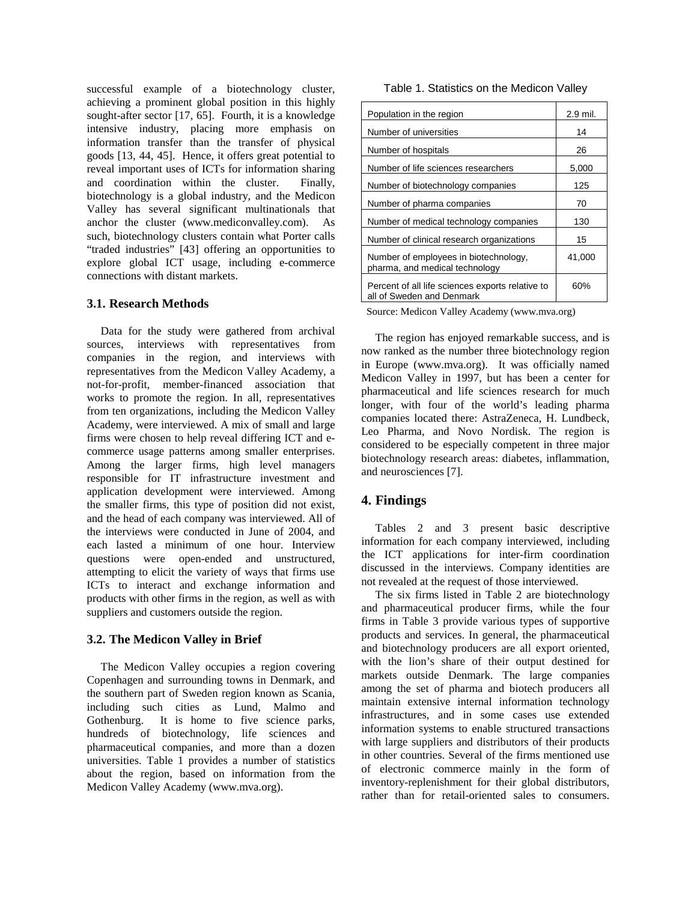successful example of a biotechnology cluster, achieving a prominent global position in this highly sought-after sector [17, 65]. Fourth, it is a knowledge intensive industry, placing more emphasis on information transfer than the transfer of physical goods [13, 44, 45]. Hence, it offers great potential to reveal important uses of ICTs for information sharing and coordination within the cluster. Finally, biotechnology is a global industry, and the Medicon Valley has several significant multinationals that anchor the cluster (www.mediconvalley.com). As such, biotechnology clusters contain what Porter calls "traded industries" [43] offering an opportunities to explore global ICT usage, including e-commerce connections with distant markets.

#### **3.1. Research Methods**

Data for the study were gathered from archival sources, interviews with representatives from companies in the region, and interviews with representatives from the Medicon Valley Academy, a not-for-profit, member-financed association that works to promote the region. In all, representatives from ten organizations, including the Medicon Valley Academy, were interviewed. A mix of small and large firms were chosen to help reveal differing ICT and ecommerce usage patterns among smaller enterprises. Among the larger firms, high level managers responsible for IT infrastructure investment and application development were interviewed. Among the smaller firms, this type of position did not exist, and the head of each company was interviewed. All of the interviews were conducted in June of 2004, and each lasted a minimum of one hour. Interview questions were open-ended and unstructured, attempting to elicit the variety of ways that firms use ICTs to interact and exchange information and products with other firms in the region, as well as with suppliers and customers outside the region.

#### **3.2. The Medicon Valley in Brief**

The Medicon Valley occupies a region covering Copenhagen and surrounding towns in Denmark, and the southern part of Sweden region known as Scania, including such cities as Lund, Malmo and Gothenburg. It is home to five science parks, hundreds of biotechnology, life sciences and pharmaceutical companies, and more than a dozen universities. Table 1 provides a number of statistics about the region, based on information from the Medicon Valley Academy (www.mva.org).

#### Table 1. Statistics on the Medicon Valley

| Population in the region                                                      | 2.9 mil. |
|-------------------------------------------------------------------------------|----------|
| Number of universities                                                        | 14       |
| Number of hospitals                                                           | 26       |
| Number of life sciences researchers                                           | 5,000    |
| Number of biotechnology companies                                             | 125      |
| Number of pharma companies                                                    | 70       |
| Number of medical technology companies                                        | 130      |
| Number of clinical research organizations                                     | 15       |
| Number of employees in biotechnology,<br>pharma, and medical technology       | 41,000   |
| Percent of all life sciences exports relative to<br>all of Sweden and Denmark | 60%      |

Source: Medicon Valley Academy (www.mva.org)

The region has enjoyed remarkable success, and is now ranked as the number three biotechnology region in Europe (www.mva.org). It was officially named Medicon Valley in 1997, but has been a center for pharmaceutical and life sciences research for much longer, with four of the world's leading pharma companies located there: AstraZeneca, H. Lundbeck, Leo Pharma, and Novo Nordisk. The region is considered to be especially competent in three major biotechnology research areas: diabetes, inflammation, and neurosciences [7].

# **4. Findings**

Tables 2 and 3 present basic descriptive information for each company interviewed, including the ICT applications for inter-firm coordination discussed in the interviews. Company identities are not revealed at the request of those interviewed.

The six firms listed in Table 2 are biotechnology and pharmaceutical producer firms, while the four firms in Table 3 provide various types of supportive products and services. In general, the pharmaceutical and biotechnology producers are all export oriented, with the lion's share of their output destined for markets outside Denmark. The large companies among the set of pharma and biotech producers all maintain extensive internal information technology infrastructures, and in some cases use extended information systems to enable structured transactions with large suppliers and distributors of their products in other countries. Several of the firms mentioned use of electronic commerce mainly in the form of inventory-replenishment for their global distributors, rather than for retail-oriented sales to consumers.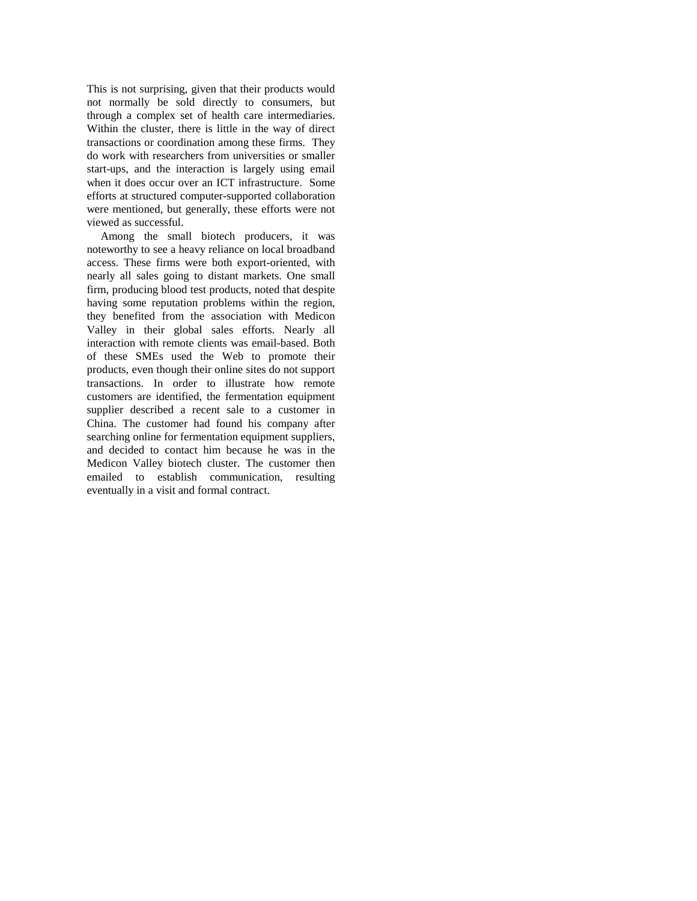This is not surprising, given that their products would not normally be sold directly to consumers, but through a complex set of health care intermediaries. Within the cluster, there is little in the way of direct transactions or coordination among these firms. They do work with researchers from universities or smaller start-ups, and the interaction is largely using email when it does occur over an ICT infrastructure. Some efforts at structured computer-supported collaboration were mentioned, but generally, these efforts were not viewed as successful.

Among the small biotech producers, it was noteworthy to see a heavy reliance on local broadband access. These firms were both export-oriented, with nearly all sales going to distant markets. One small firm, producing blood test products, noted that despite having some reputation problems within the region, they benefited from the association with Medicon Valley in their global sales efforts. Nearly all interaction with remote clients was email-based. Both of these SMEs used the Web to promote their products, even though their online sites do not support transactions. In order to illustrate how remote customers are identified, the fermentation equipment supplier described a recent sale to a customer in China. The customer had found his company after searching online for fermentation equipment suppliers, and decided to contact him because he was in the Medicon Valley biotech cluster. The customer then emailed to establish communication, resulting eventually in a visit and formal contract.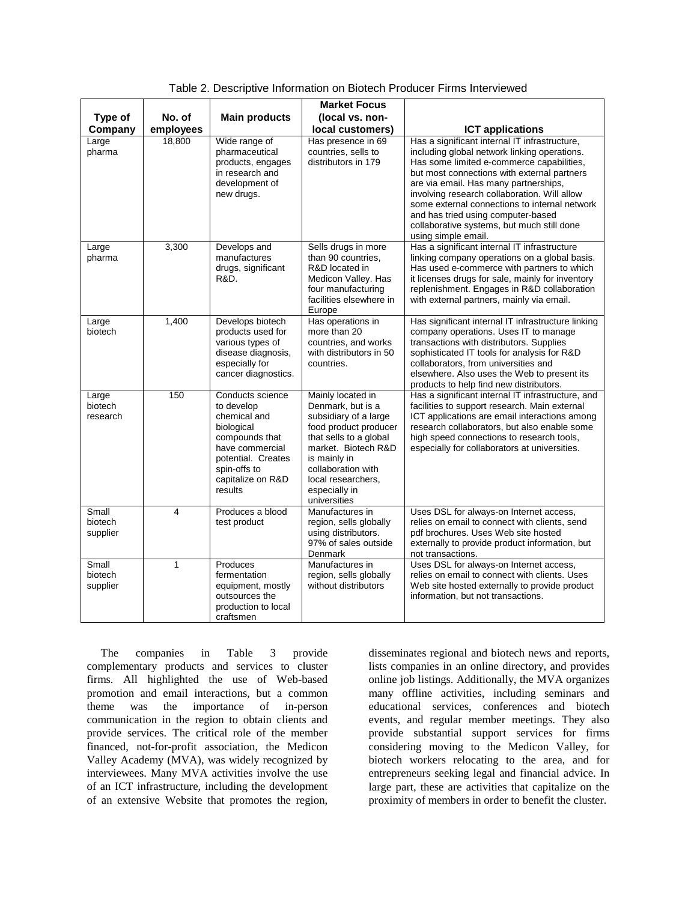|                              |           |                                                                                                                                                                         | <b>Market Focus</b>                                                                                                                                                                                                                    |                                                                                                                                                                                                                                                                                                                                                                                                                                                |
|------------------------------|-----------|-------------------------------------------------------------------------------------------------------------------------------------------------------------------------|----------------------------------------------------------------------------------------------------------------------------------------------------------------------------------------------------------------------------------------|------------------------------------------------------------------------------------------------------------------------------------------------------------------------------------------------------------------------------------------------------------------------------------------------------------------------------------------------------------------------------------------------------------------------------------------------|
| Type of                      | No. of    | <b>Main products</b>                                                                                                                                                    | (local vs. non-                                                                                                                                                                                                                        |                                                                                                                                                                                                                                                                                                                                                                                                                                                |
| Company                      | employees |                                                                                                                                                                         | local customers)                                                                                                                                                                                                                       | <b>ICT applications</b>                                                                                                                                                                                                                                                                                                                                                                                                                        |
| Large<br>pharma              | 18,800    | Wide range of<br>pharmaceutical<br>products, engages<br>in research and<br>development of<br>new drugs.                                                                 | Has presence in 69<br>countries, sells to<br>distributors in 179                                                                                                                                                                       | Has a significant internal IT infrastructure,<br>including global network linking operations.<br>Has some limited e-commerce capabilities,<br>but most connections with external partners<br>are via email. Has many partnerships,<br>involving research collaboration. Will allow<br>some external connections to internal network<br>and has tried using computer-based<br>collaborative systems, but much still done<br>using simple email. |
| Large<br>pharma              | 3,300     | Develops and<br>manufactures<br>drugs, significant<br>R&D.                                                                                                              | Sells drugs in more<br>than 90 countries,<br>R&D located in<br>Medicon Valley. Has<br>four manufacturing<br>facilities elsewhere in<br>Europe                                                                                          | Has a significant internal IT infrastructure<br>linking company operations on a global basis.<br>Has used e-commerce with partners to which<br>it licenses drugs for sale, mainly for inventory<br>replenishment. Engages in R&D collaboration<br>with external partners, mainly via email.                                                                                                                                                    |
| Large<br>biotech             | 1,400     | Develops biotech<br>products used for<br>various types of<br>disease diagnosis.<br>especially for<br>cancer diagnostics.                                                | Has operations in<br>more than 20<br>countries, and works<br>with distributors in 50<br>countries.                                                                                                                                     | Has significant internal IT infrastructure linking<br>company operations. Uses IT to manage<br>transactions with distributors. Supplies<br>sophisticated IT tools for analysis for R&D<br>collaborators, from universities and<br>elsewhere. Also uses the Web to present its<br>products to help find new distributors.                                                                                                                       |
| Large<br>biotech<br>research | 150       | Conducts science<br>to develop<br>chemical and<br>biological<br>compounds that<br>have commercial<br>potential. Creates<br>spin-offs to<br>capitalize on R&D<br>results | Mainly located in<br>Denmark, but is a<br>subsidiary of a large<br>food product producer<br>that sells to a global<br>market. Biotech R&D<br>is mainly in<br>collaboration with<br>local researchers,<br>especially in<br>universities | Has a significant internal IT infrastructure, and<br>facilities to support research. Main external<br>ICT applications are email interactions among<br>research collaborators, but also enable some<br>high speed connections to research tools,<br>especially for collaborators at universities.                                                                                                                                              |
| Small<br>biotech<br>supplier | 4         | Produces a blood<br>test product                                                                                                                                        | Manufactures in<br>region, sells globally<br>using distributors.<br>97% of sales outside<br>Denmark                                                                                                                                    | Uses DSL for always-on Internet access,<br>relies on email to connect with clients, send<br>pdf brochures. Uses Web site hosted<br>externally to provide product information, but<br>not transactions.                                                                                                                                                                                                                                         |
| Small<br>biotech<br>supplier | 1         | Produces<br>fermentation<br>equipment, mostly<br>outsources the<br>production to local<br>craftsmen                                                                     | Manufactures in<br>region, sells globally<br>without distributors                                                                                                                                                                      | Uses DSL for always-on Internet access,<br>relies on email to connect with clients. Uses<br>Web site hosted externally to provide product<br>information, but not transactions.                                                                                                                                                                                                                                                                |

Table 2. Descriptive Information on Biotech Producer Firms Interviewed

The companies in Table 3 provide complementary products and services to cluster firms. All highlighted the use of Web-based promotion and email interactions, but a common theme was the importance of in-person communication in the region to obtain clients and provide services. The critical role of the member financed, not-for-profit association, the Medicon Valley Academy (MVA), was widely recognized by interviewees. Many MVA activities involve the use of an ICT infrastructure, including the development of an extensive Website that promotes the region,

disseminates regional and biotech news and reports, lists companies in an online directory, and provides online job listings. Additionally, the MVA organizes many offline activities, including seminars and educational services, conferences and biotech events, and regular member meetings. They also provide substantial support services for firms considering moving to the Medicon Valley, for biotech workers relocating to the area, and for entrepreneurs seeking legal and financial advice. In large part, these are activities that capitalize on the proximity of members in order to benefit the cluster.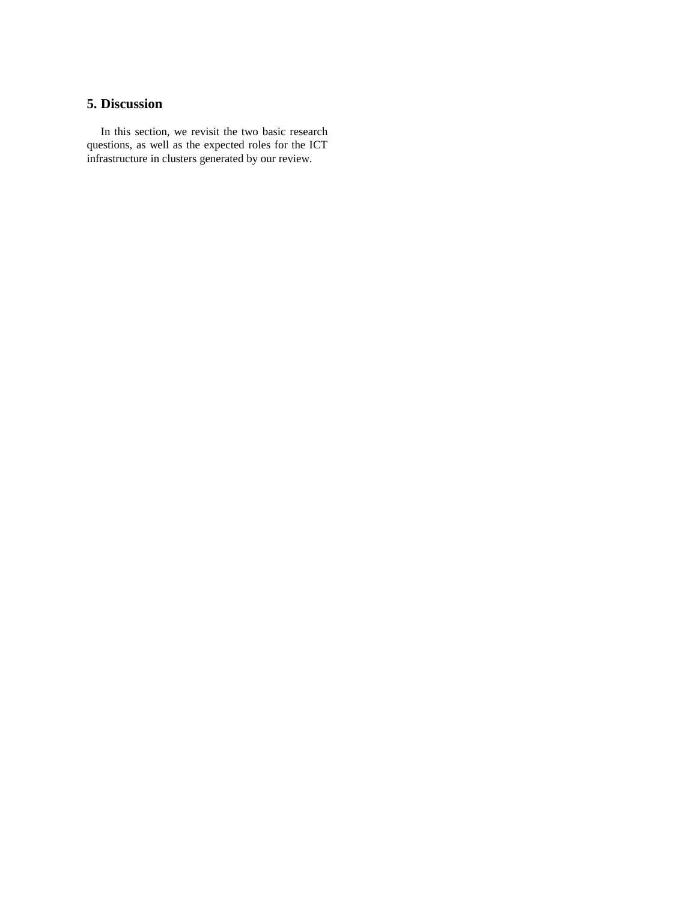# **5. Discussion**

In this section, we revisit the two basic research questions, as well as the expected roles for the ICT infrastructure in clusters generated by our review.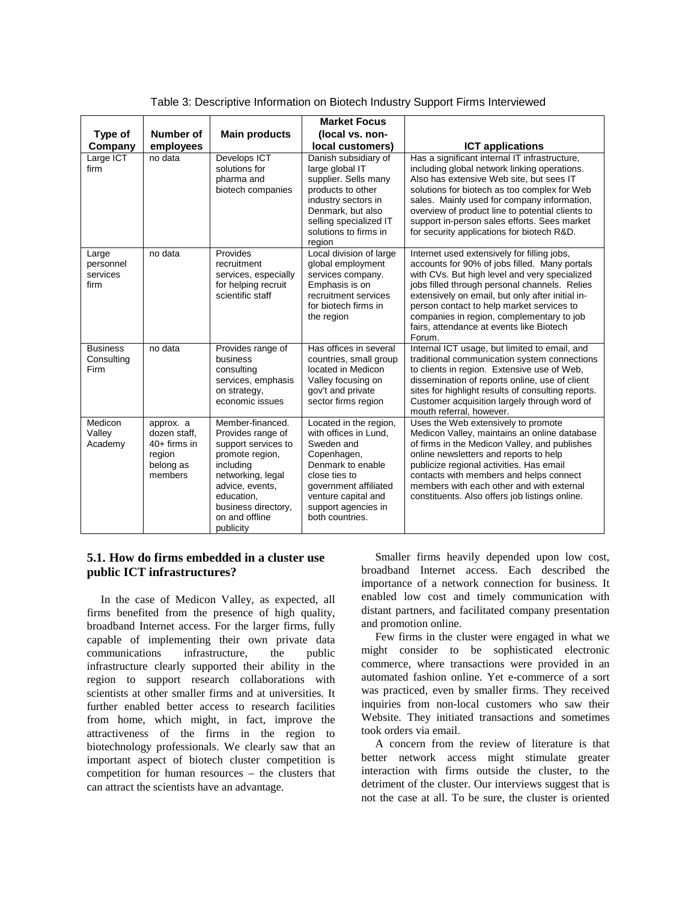|                                        |                                                                               |                                                                                                                                                                                                          | <b>Market Focus</b>                                                                                                                                                                                          |                                                                                                                                                                                                                                                                                                                                                                                                    |
|----------------------------------------|-------------------------------------------------------------------------------|----------------------------------------------------------------------------------------------------------------------------------------------------------------------------------------------------------|--------------------------------------------------------------------------------------------------------------------------------------------------------------------------------------------------------------|----------------------------------------------------------------------------------------------------------------------------------------------------------------------------------------------------------------------------------------------------------------------------------------------------------------------------------------------------------------------------------------------------|
| Type of                                | Number of                                                                     | <b>Main products</b>                                                                                                                                                                                     | (local vs. non-                                                                                                                                                                                              |                                                                                                                                                                                                                                                                                                                                                                                                    |
| Company                                | employees                                                                     |                                                                                                                                                                                                          | local customers)                                                                                                                                                                                             | <b>ICT applications</b>                                                                                                                                                                                                                                                                                                                                                                            |
| Large ICT<br>firm                      | no data                                                                       | Develops ICT<br>solutions for<br>pharma and<br>biotech companies                                                                                                                                         | Danish subsidiary of<br>large global IT<br>supplier. Sells many<br>products to other<br>industry sectors in<br>Denmark, but also<br>selling specialized IT<br>solutions to firms in<br>region                | Has a significant internal IT infrastructure,<br>including global network linking operations.<br>Also has extensive Web site, but sees IT<br>solutions for biotech as too complex for Web<br>sales. Mainly used for company information,<br>overview of product line to potential clients to<br>support in-person sales efforts. Sees market<br>for security applications for biotech R&D.         |
| Large<br>personnel<br>services<br>firm | no data                                                                       | Provides<br>recruitment<br>services, especially<br>for helping recruit<br>scientific staff                                                                                                               | Local division of large<br>global employment<br>services company.<br>Emphasis is on<br>recruitment services<br>for biotech firms in<br>the region                                                            | Internet used extensively for filling jobs,<br>accounts for 90% of jobs filled. Many portals<br>with CVs. But high level and very specialized<br>jobs filled through personal channels. Relies<br>extensively on email, but only after initial in-<br>person contact to help market services to<br>companies in region, complementary to job<br>fairs, attendance at events like Biotech<br>Forum. |
| <b>Business</b><br>Consulting<br>Firm  | no data                                                                       | Provides range of<br>business<br>consulting<br>services, emphasis<br>on strategy,<br>economic issues                                                                                                     | Has offices in several<br>countries, small group<br>located in Medicon<br>Valley focusing on<br>gov't and private<br>sector firms region                                                                     | Internal ICT usage, but limited to email, and<br>traditional communication system connections<br>to clients in region. Extensive use of Web,<br>dissemination of reports online, use of client<br>sites for highlight results of consulting reports.<br>Customer acquisition largely through word of<br>mouth referral, however.                                                                   |
| Medicon<br>Valley<br>Academy           | approx. a<br>dozen staff,<br>$40+$ firms in<br>region<br>belong as<br>members | Member-financed.<br>Provides range of<br>support services to<br>promote region,<br>including<br>networking, legal<br>advice, events,<br>education,<br>business directory,<br>on and offline<br>publicity | Located in the region,<br>with offices in Lund,<br>Sweden and<br>Copenhagen,<br>Denmark to enable<br>close ties to<br>government affiliated<br>venture capital and<br>support agencies in<br>both countries. | Uses the Web extensively to promote<br>Medicon Valley, maintains an online database<br>of firms in the Medicon Valley, and publishes<br>online newsletters and reports to help<br>publicize regional activities. Has email<br>contacts with members and helps connect<br>members with each other and with external<br>constituents. Also offers job listings online.                               |

Table 3: Descriptive Information on Biotech Industry Support Firms Interviewed

# **5.1. How do firms embedded in a cluster use public ICT infrastructures?**

In the case of Medicon Valley, as expected, all firms benefited from the presence of high quality, broadband Internet access. For the larger firms, fully capable of implementing their own private data communications infrastructure, the infrastructure clearly supported their ability in the region to support research collaborations with scientists at other smaller firms and at universities. It further enabled better access to research facilities from home, which might, in fact, improve the attractiveness of the firms in the region to biotechnology professionals. We clearly saw that an important aspect of biotech cluster competition is competition for human resources – the clusters that can attract the scientists have an advantage.

Smaller firms heavily depended upon low cost, broadband Internet access. Each described the importance of a network connection for business. It enabled low cost and timely communication with distant partners, and facilitated company presentation and promotion online.

Few firms in the cluster were engaged in what we might consider to be sophisticated electronic commerce, where transactions were provided in an automated fashion online. Yet e-commerce of a sort was practiced, even by smaller firms. They received inquiries from non-local customers who saw their Website. They initiated transactions and sometimes took orders via email.

A concern from the review of literature is that better network access might stimulate greater interaction with firms outside the cluster, to the detriment of the cluster. Our interviews suggest that is not the case at all. To be sure, the cluster is oriented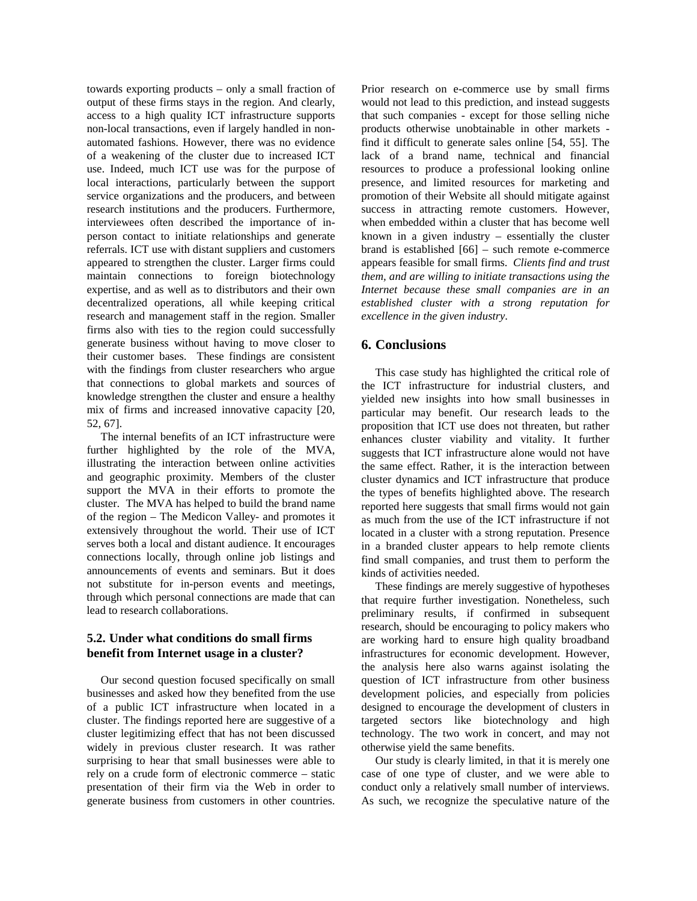towards exporting products – only a small fraction of output of these firms stays in the region. And clearly, access to a high quality ICT infrastructure supports non-local transactions, even if largely handled in nonautomated fashions. However, there was no evidence of a weakening of the cluster due to increased ICT use. Indeed, much ICT use was for the purpose of local interactions, particularly between the support service organizations and the producers, and between research institutions and the producers. Furthermore, interviewees often described the importance of inperson contact to initiate relationships and generate referrals. ICT use with distant suppliers and customers appeared to strengthen the cluster. Larger firms could maintain connections to foreign biotechnology expertise, and as well as to distributors and their own decentralized operations, all while keeping critical research and management staff in the region. Smaller firms also with ties to the region could successfully generate business without having to move closer to their customer bases. These findings are consistent with the findings from cluster researchers who argue that connections to global markets and sources of knowledge strengthen the cluster and ensure a healthy mix of firms and increased innovative capacity [20, 52, 67].

The internal benefits of an ICT infrastructure were further highlighted by the role of the MVA, illustrating the interaction between online activities and geographic proximity. Members of the cluster support the MVA in their efforts to promote the cluster. The MVA has helped to build the brand name of the region – The Medicon Valley- and promotes it extensively throughout the world. Their use of ICT serves both a local and distant audience. It encourages connections locally, through online job listings and announcements of events and seminars. But it does not substitute for in-person events and meetings, through which personal connections are made that can lead to research collaborations.

#### **5.2. Under what conditions do small firms benefit from Internet usage in a cluster?**

Our second question focused specifically on small businesses and asked how they benefited from the use of a public ICT infrastructure when located in a cluster. The findings reported here are suggestive of a cluster legitimizing effect that has not been discussed widely in previous cluster research. It was rather surprising to hear that small businesses were able to rely on a crude form of electronic commerce – static presentation of their firm via the Web in order to generate business from customers in other countries.

Prior research on e-commerce use by small firms would not lead to this prediction, and instead suggests that such companies - except for those selling niche products otherwise unobtainable in other markets find it difficult to generate sales online [54, 55]. The lack of a brand name, technical and financial resources to produce a professional looking online presence, and limited resources for marketing and promotion of their Website all should mitigate against success in attracting remote customers. However, when embedded within a cluster that has become well known in a given industry – essentially the cluster brand is established [66] – such remote e-commerce appears feasible for small firms. *Clients find and trust them, and are willing to initiate transactions using the Internet because these small companies are in an established cluster with a strong reputation for excellence in the given industry*.

## **6. Conclusions**

This case study has highlighted the critical role of the ICT infrastructure for industrial clusters, and yielded new insights into how small businesses in particular may benefit. Our research leads to the proposition that ICT use does not threaten, but rather enhances cluster viability and vitality. It further suggests that ICT infrastructure alone would not have the same effect. Rather, it is the interaction between cluster dynamics and ICT infrastructure that produce the types of benefits highlighted above. The research reported here suggests that small firms would not gain as much from the use of the ICT infrastructure if not located in a cluster with a strong reputation. Presence in a branded cluster appears to help remote clients find small companies, and trust them to perform the kinds of activities needed.

These findings are merely suggestive of hypotheses that require further investigation. Nonetheless, such preliminary results, if confirmed in subsequent research, should be encouraging to policy makers who are working hard to ensure high quality broadband infrastructures for economic development. However, the analysis here also warns against isolating the question of ICT infrastructure from other business development policies, and especially from policies designed to encourage the development of clusters in targeted sectors like biotechnology and high technology. The two work in concert, and may not otherwise yield the same benefits.

Our study is clearly limited, in that it is merely one case of one type of cluster, and we were able to conduct only a relatively small number of interviews. As such, we recognize the speculative nature of the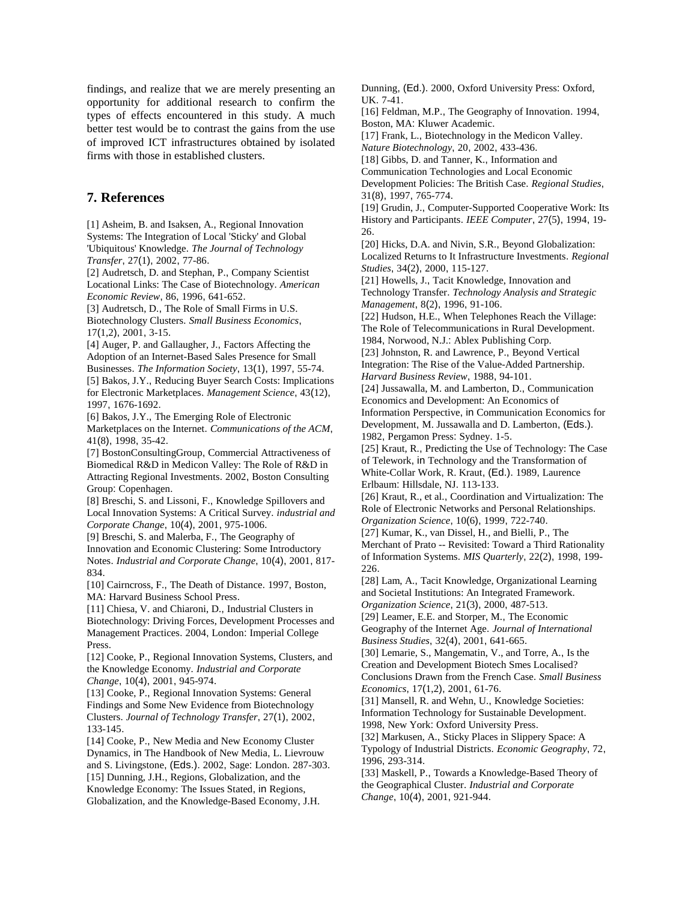findings, and realize that we are merely presenting an opportunity for additional research to confirm the types of effects encountered in this study. A much better test would be to contrast the gains from the use of improved ICT infrastructures obtained by isolated firms with those in established clusters.

# **7. References**

[1] Asheim, B. and Isaksen, A., Regional Innovation Systems: The Integration of Local 'Sticky' and Global 'Ubiquitous' Knowledge. *The Journal of Technology Transfer*, 27(1), 2002, 77-86. [2] Audretsch, D. and Stephan, P., Company Scientist Locational Links: The Case of Biotechnology. *American Economic Review*, 86, 1996, 641-652. [3] Audretsch, D., The Role of Small Firms in U.S. Biotechnology Clusters. *Small Business Economics*, 17(1,2), 2001, 3-15. [4] Auger, P. and Gallaugher, J., Factors Affecting the Adoption of an Internet-Based Sales Presence for Small Businesses. *The Information Society*, 13(1), 1997, 55-74. [5] Bakos, J.Y., Reducing Buyer Search Costs: Implications for Electronic Marketplaces. *Management Science*, 43(12), 1997, 1676-1692. [6] Bakos, J.Y., The Emerging Role of Electronic Marketplaces on the Internet. *Communications of the ACM*, 41(8), 1998, 35-42. [7] BostonConsultingGroup, Commercial Attractiveness of Biomedical R&D in Medicon Valley: The Role of R&D in Attracting Regional Investments. 2002, Boston Consulting Group: Copenhagen. [8] Breschi, S. and Lissoni, F., Knowledge Spillovers and Local Innovation Systems: A Critical Survey. *industrial and Corporate Change*, 10(4), 2001, 975-1006. [9] Breschi, S. and Malerba, F., The Geography of Innovation and Economic Clustering: Some Introductory Notes. *Industrial and Corporate Change*, 10(4), 2001, 817- 834. [10] Cairncross, F., The Death of Distance. 1997, Boston, MA: Harvard Business School Press. [11] Chiesa, V. and Chiaroni, D., Industrial Clusters in Biotechnology: Driving Forces, Development Processes and Management Practices. 2004, London: Imperial College Press. [12] Cooke, P., Regional Innovation Systems, Clusters, and the Knowledge Economy. *Industrial and Corporate Change*, 10(4), 2001, 945-974. [13] Cooke, P., Regional Innovation Systems: General Findings and Some New Evidence from Biotechnology Clusters. *Journal of Technology Transfer*, 27(1), 2002, 133-145. [14] Cooke, P., New Media and New Economy Cluster Dynamics, in The Handbook of New Media, L. Lievrouw and S. Livingstone, (Eds.). 2002, Sage: London. 287-303. [15] Dunning, J.H., Regions, Globalization, and the Knowledge Economy: The Issues Stated, in Regions, Globalization, and the Knowledge-Based Economy, J.H.

Dunning, (Ed.). 2000, Oxford University Press: Oxford, UK. 7-41.

[16] Feldman, M.P., The Geography of Innovation. 1994, Boston, MA: Kluwer Academic.

[17] Frank, L., Biotechnology in the Medicon Valley. *Nature Biotechnology*, 20, 2002, 433-436.

[18] Gibbs, D. and Tanner, K., Information and

Communication Technologies and Local Economic Development Policies: The British Case. *Regional Studies*,

31(8), 1997, 765-774. [19] Grudin, J., Computer-Supported Cooperative Work: Its

History and Participants. *IEEE Computer*, 27(5), 1994, 19- 26.

[20] Hicks, D.A. and Nivin, S.R., Beyond Globalization: Localized Returns to It Infrastructure Investments. *Regional Studies*, 34(2), 2000, 115-127.

[21] Howells, J., Tacit Knowledge, Innovation and Technology Transfer. *Technology Analysis and Strategic Management*, 8(2), 1996, 91-106.

[22] Hudson, H.E., When Telephones Reach the Village: The Role of Telecommunications in Rural Development. 1984, Norwood, N.J.: Ablex Publishing Corp.

[23] Johnston, R. and Lawrence, P., Beyond Vertical Integration: The Rise of the Value-Added Partnership. *Harvard Business Review*, 1988, 94-101.

[24] Jussawalla, M. and Lamberton, D., Communication Economics and Development: An Economics of Information Perspective, in Communication Economics for

Development, M. Jussawalla and D. Lamberton, (Eds.). 1982, Pergamon Press: Sydney. 1-5.

[25] Kraut, R., Predicting the Use of Technology: The Case of Telework, in Technology and the Transformation of White-Collar Work, R. Kraut, (Ed.). 1989, Laurence Erlbaum: Hillsdale, NJ. 113-133.

[26] Kraut, R., et al., Coordination and Virtualization: The Role of Electronic Networks and Personal Relationships. *Organization Science*, 10(6), 1999, 722-740.

[27] Kumar, K., van Dissel, H., and Bielli, P., The Merchant of Prato -- Revisited: Toward a Third Rationality of Information Systems. *MIS Quarterly*, 22(2), 1998, 199- 226.

[28] Lam, A., Tacit Knowledge, Organizational Learning and Societal Institutions: An Integrated Framework.

*Organization Science*, 21(3), 2000, 487-513.

[29] Leamer, E.E. and Storper, M., The Economic Geography of the Internet Age. *Journal of International Business Studies*, 32(4), 2001, 641-665.

[30] Lemarie, S., Mangematin, V., and Torre, A., Is the Creation and Development Biotech Smes Localised? Conclusions Drawn from the French Case. *Small Business Economics*, 17(1,2), 2001, 61-76.

[31] Mansell, R. and Wehn, U., Knowledge Societies: Information Technology for Sustainable Development. 1998, New York: Oxford University Press.

[32] Markusen, A., Sticky Places in Slippery Space: A Typology of Industrial Districts. *Economic Geography*, 72, 1996, 293-314.

[33] Maskell, P., Towards a Knowledge-Based Theory of the Geographical Cluster. *Industrial and Corporate Change*, 10(4), 2001, 921-944.